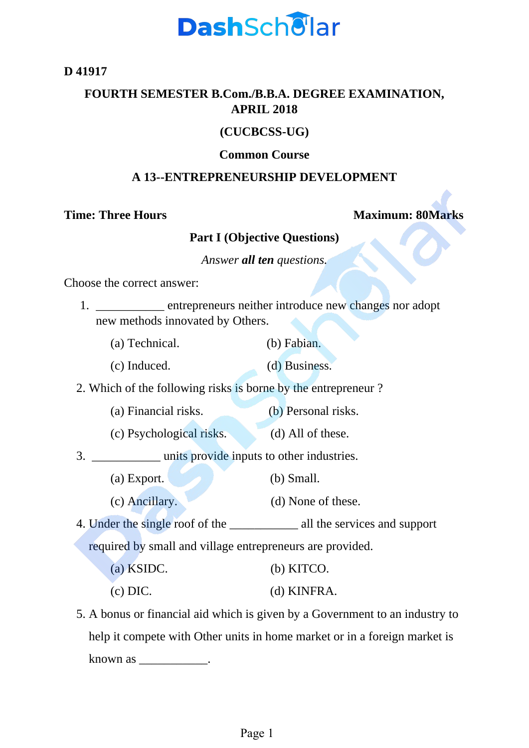

**D 41917**

# **FOURTH SEMESTER B.Com./B.B.A. DEGREE EXAMINATION, APRIL 2018**

## **(CUCBCSS-UG)**

#### **Common Course**

#### **A 13--ENTREPRENEURSHIP DEVELOPMENT**

### **Time: Three Hours Maximum: 80Marks**

# **Part I (Objective Questions)**

*Answer all ten questions.*

Choose the correct answer:

- 1. \_\_\_\_\_\_\_\_\_\_\_ entrepreneurs neither introduce new changes nor adopt new methods innovated by Others.
	- (a) Technical. (b) Fabian.
	- (c) Induced. (d) Business.

2. Which of the following risks is borne by the entrepreneur ?

- (a) Financial risks. (b) Personal risks.
- (c) Psychological risks. (d) All of these.

3. \_\_\_\_\_\_\_\_\_\_\_ units provide inputs to other industries.

- (a) Export. (b) Small.
- (c) Ancillary. (d) None of these.

4. Under the single roof of the all the services and support required by small and village entrepreneurs are provided.

(a) KSIDC. (b) KITCO. (c) DIC. (d) KINFRA.

5. A bonus or financial aid which is given by a Government to an industry to help it compete with Other units in home market or in a foreign market is known as \_\_\_\_\_\_\_\_\_\_\_\_.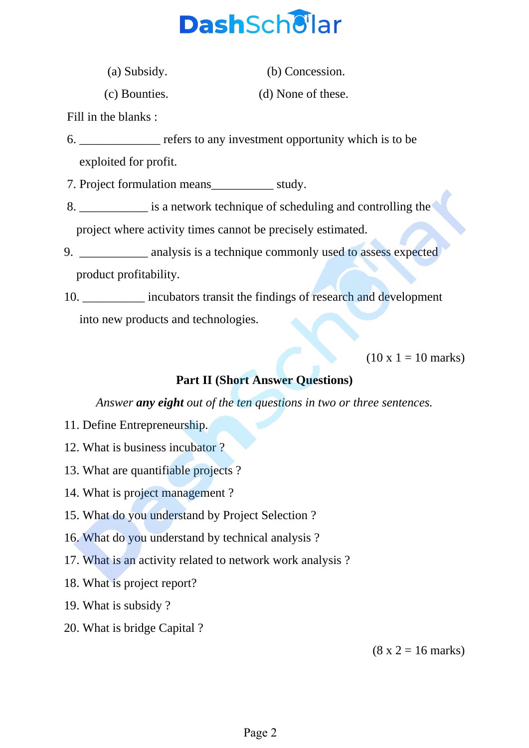

(a) Subsidy. (b) Concession.

(c) Bounties. (d) None of these.

Fill in the blanks :

6. \_\_\_\_\_\_\_\_\_\_\_\_\_ refers to any investment opportunity which is to be exploited for profit.

7. Project formulation means\_\_\_\_\_\_\_\_\_\_ study.

- 8. \_\_\_\_\_\_\_\_\_\_\_ is a network technique of scheduling and controlling the project where activity times cannot be precisely estimated.
- 9. \_\_\_\_\_\_\_\_\_\_\_ analysis is a technique commonly used to assess expected product profitability.
- 10. **Example 10. incubators transit the findings of research and development** into new products and technologies.

 $(10 \times 1 = 10 \text{ marks})$ 

## **Part II (Short Answer Questions)**

*Answer any eight out of the ten questions in two or three sentences.*

- 11. Define Entrepreneurship.
- 12. What is business incubator ?
- 13. What are quantifiable projects ?
- 14. What is project management ?
- 15. What do you understand by Project Selection ?
- 16. What do you understand by technical analysis ?
- 17. What is an activity related to network work analysis ?
- 18. What is project report?
- 19. What is subsidy ?
- 20. What is bridge Capital ?

 $(8 \times 2 = 16 \text{ marks})$